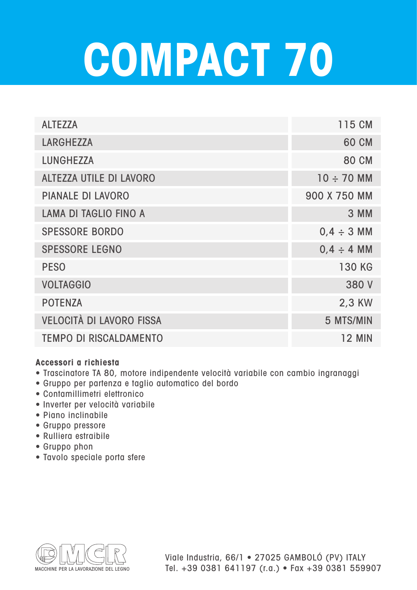## **COMPACT 70**

| <b>ALTEZZA</b>                  | 115 CM          |
|---------------------------------|-----------------|
| <b>LARGHEZZA</b>                | <b>60 CM</b>    |
| <b>LUNGHEZZA</b>                | <b>80 CM</b>    |
| <b>ALTEZZA UTILE DI LAVORO</b>  | $10 \div 70$ MM |
| <b>PIANALE DI LAVORO</b>        | 900 X 750 MM    |
| <b>LAMA DI TAGLIO FINO A</b>    | 3 MM            |
| <b>SPESSORE BORDO</b>           | $0,4 \div 3$ MM |
| <b>SPESSORE LEGNO</b>           | $0,4 \div 4$ MM |
| <b>PESO</b>                     | <b>130 KG</b>   |
| <b>VOLTAGGIO</b>                | 380 V           |
| <b>POTENZA</b>                  | 2,3 KW          |
| <b>VELOCITÀ DI LAVORO FISSA</b> | 5 MTS/MIN       |
| <b>TEMPO DI RISCALDAMENTO</b>   | <b>12 MIN</b>   |

## **Accessori a richiesta**

- Trascinatore TA 80, motore indipendente velocità variabile con cambio ingranaggi
- Gruppo per partenza e taglio automatico del bordo
- Contamillimetri elettronico
- Inverter per velocità variabile
- Piano inclinabile
- Gruppo pressore
- Rulliera estraibile
- Gruppo phon
- Tavolo speciale porta sfere